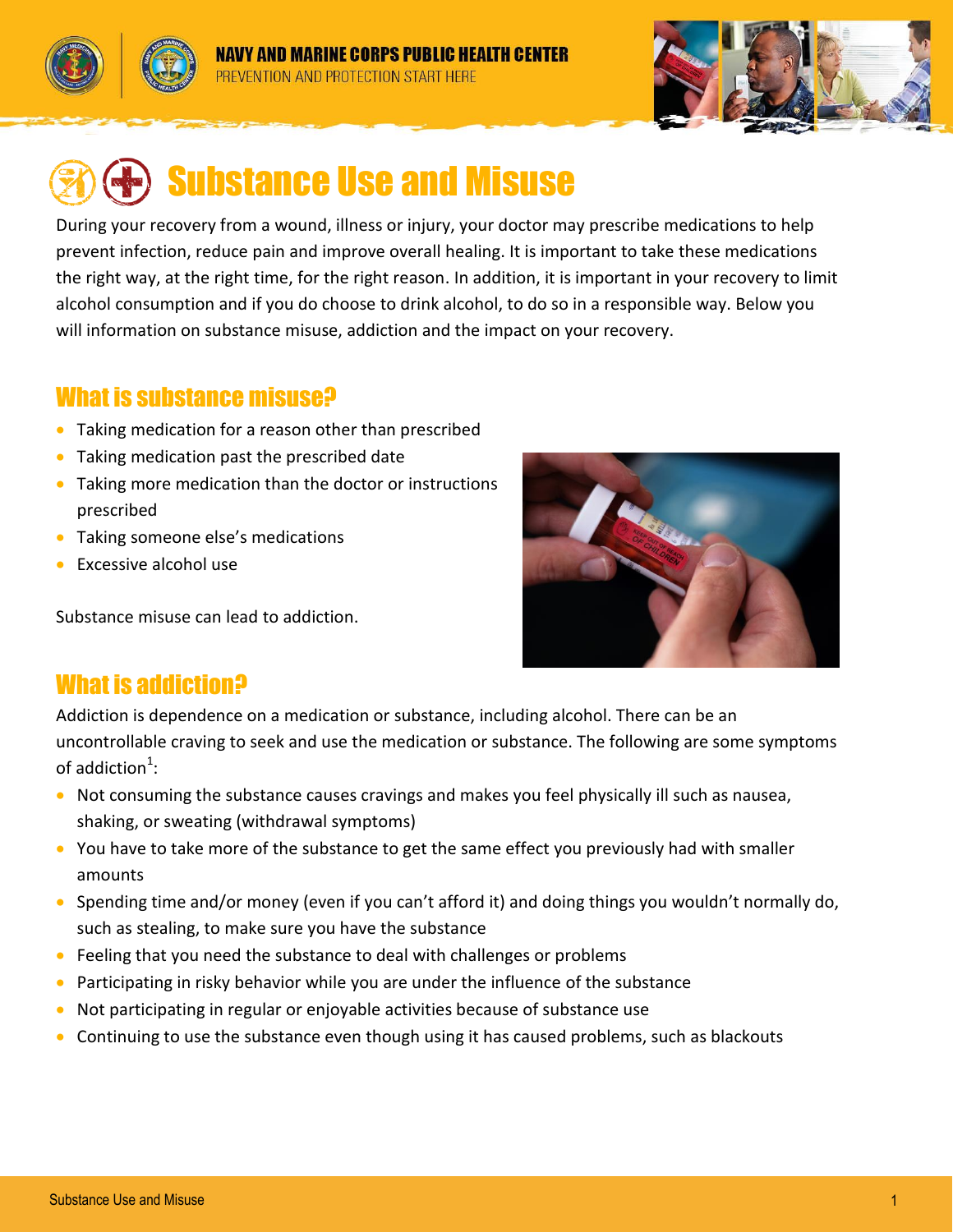



# Substance Use and Misuse

During your recovery from a wound, illness or injury, your doctor may prescribe medications to help prevent infection, reduce pain and improve overall healing. It is important to take these medications the right way, at the right time, for the right reason. In addition, it is important in your recovery to limit alcohol consumption and if you do choose to drink alcohol, to do so in a responsible way. Below you will information on substance misuse, addiction and the impact on your recovery.

#### What is substance misuse?

- Taking medication for a reason other than prescribed
- Taking medication past the prescribed date
- Taking more medication than the doctor or instructions prescribed
- Taking someone else's medications
- Excessive alcohol use

Substance misuse can lead to addiction.



## What is addiction?

Addiction is dependence on a medication or substance, including alcohol. There can be an uncontrollable craving to seek and use the medication or substance. The following are some symptoms of addiction<sup>1</sup>:

- Not consuming the substance causes cravings and makes you feel physically ill such as nausea, shaking, or sweating (withdrawal symptoms)
- You have to take more of the substance to get the same effect you previously had with smaller amounts
- Spending time and/or money (even if you can't afford it) and doing things you wouldn't normally do, such as stealing, to make sure you have the substance
- Feeling that you need the substance to deal with challenges or problems
- Participating in risky behavior while you are under the influence of the substance
- Not participating in regular or enjoyable activities because of substance use
- Continuing to use the substance even though using it has caused problems, such as blackouts